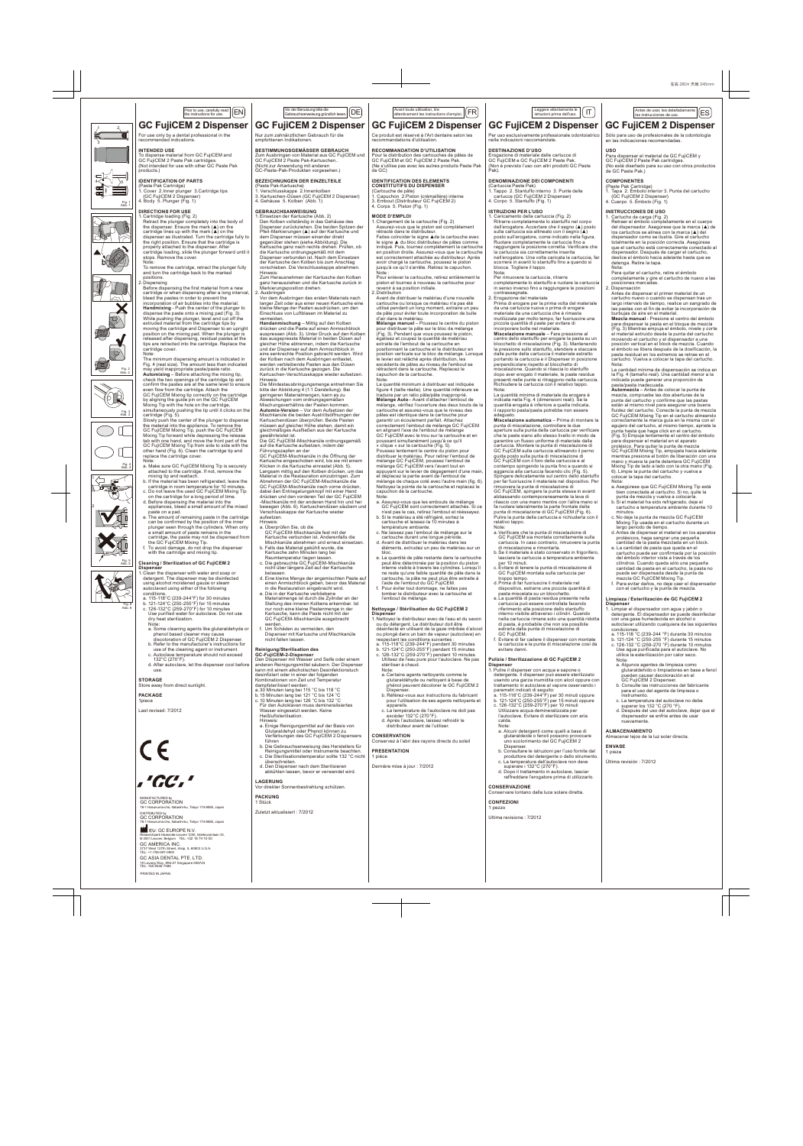## **GC FujiCEM 2 Dispenser** Prior to use, carefully read  $\boxed{\text{EN}}$

# For use only by a dental professional in the recommended indications.

(Paste Pak Cartridge) 1. Cover 2.Inner plunger 3.Cartridge tips (GC FujiCEM 2 Dispenser)

1. Cartridge loading (Fig. 2)<br>
Retract the plunger completely into the body of<br>
the dispenser. Ensure the mark (▲) on the<br>
cartridge lines up with the mark (▲) on the

 dispenser as illustrated. Turn the cartridge fully to the right position. Ensure that the cartridge is properly attached to the dispenser. After cartridge loading, slide the plunger forward until it stops. Remove the cover. Note: To remove the cartridge, retract the plunger fully

and turn the cartridge back to the marked positions. 2. Dispensing Before dispensing the first material from a new cartridge or when dispensing after a long interval, bleed the pastes in order to prevent the

 incorporation of air bubbles into the material. **Handmixing** - Push the center of the plunger to dispense the paste onto a mixing pad (Fig. 3). While pushing the plunger, level and cut off the extruded material from the cartridge tips by moving the cartridge and Dispenser to an upright position on the mixing pad. When the plunger is released after dispensing, residual pastes at the tips are retracted into the cartridge. Replace the cartridge cover.

Note:<br>The minimum dispensing amount is indicated in<br>Fig. 4 (real size). The amount less than indicated<br>may yield inappropriate paste/paste ratio.<br>**Automixing** – Before attaching the mixing tip,<br>check the two openings of th

 GC FujiCEM Mixing tip correctly on the cartridge by aligning the guide pin on the GC FujiCEM by any might the bole price of the cartridge,<br>Mixing Tip with the hole on the cartridge,<br>simultaneously pushing the tip until it clicks on the

simultaneously pushing the tip until it clicks on the<br>cartridge (Fig. 5).<br>Slowly push the center of the plunger to dispense<br>the material into the appliance. To remove the<br>GC FujiCEM Mixing Tip, push the GC FujiCEM<br>Mixing T

Note:<br>
a. Make sure GC FujiCEM Mixing Tip is securely<br>
attached to the cartridge. If not, remove the<br>
mixing tip and reattach.<br>
b. If the material has been refrigerated, leave the cartridge in room temperature for 10 minutes. c. Do not leave the used GC FujiCEM Mixing Tip on the cartridge for a long period of time. d. Before dispensing the material into the appliances, bleed a small amount of the mixed paste on a pad.

e. The amount of remaining paste in the cartridge<br>can be confirmed by the position of the inner<br>plunger seen through the cylinders. When only<br>a small amount of paste remains in the<br>cartridge, the paste may not be dispensed

**IDENTIFICATION OF PARTS**

4. Body 5. Plunger (Fig. 1) **DIRECTIONS FOR USE**

# **INTENDED USE**<br>To dispense material from GC FujiCEM and<br>GC FujiCEM 2 Paste Pak cartridges.<br>(Not intended for use with other GC Paste Pak<br>products.)

4 5

2

1 3













# **Dispenser** 1. Clean the dispenser with water and soap or detergent. The dispenser may be disinfected using alcohol moistened gauze or steam autoclaved using either of the following

 Fig. 6 Abb. 6  conditions. a. 115-118°C (239-244°F) for 30 minutes b. 121-124°C (250-255°F) for 15 minutes c. 126-132°C (259-270°F) for 10 minutes Use purified water for autoclave. Do not use dry heat sterilization. Note:

**Cleaning / Sterilization of GC FujiCEM 2** 

- a. Some cleaning agents like glutaraldehyde or phenol based cleaner may cause discoloration of GC FujiCEM 2 Dispenser.
- 
- 
- b. Refer to the manufacturer's instructions for use of the cleaning agent or instrument. c. Autoclave temperature should not exceed 132°C (270°F). d. After autoclave, let the dispenser cool before
- use.

**STORAGE** Store away from direct sunlight.

### **PACKAGE** 1piece

Last revised: 7/2012



# MANUFACTURED by GC CORPORATION

.<br>76 Yuli 174-8585, Japan DISTRIBUTED by GC CORPORATION 76-1 Hasunuma-cho, Itabashi-ku, Tokyo 174-8585, Japan

EU: GC EUROPE N.V. Researchpark Haasrode-Leuven 1240, Interleuvenlaan 33, B-3001 Leuven, Belgium TEL: +32 16 74 10 00 GC AMERICA INC. 3737 West 127th Street, Alsip, IL 60803 U.S.A. TEL: +1-708-597-0900 GC ASIA DENTAL PTE. LTD.

19 Loyang Way, #06-27 Singapore 508724 TEL: +65 6546 7588

PRINTED IN JAPAN

Nur zum zahnärztlichen Gebrauch für die **GC FujiCEM 2 Dispenser** Vor der Benutzung bitte die<br>Gebrauchsanweisung gründlich lesen. DE

empfohlenen Indikationen.

**BESTIMMUNGSGEMASSER GEBRAUCH**<br>Zum Ausbringen von Material aus GC FujiCEM und<br>GC FujiCEM 2 Paste Pak-Kartuschen.. (Nicht zur Anwendung mit anderen GC-Paste-Pak-Produkten vorgesehen.)

# **BEZEICHNUNGEN DER EINZELTEILE**

(Paste Pak-Kartusche) 1. Verschlusskappe 2.Innenkolben 3. Kartuschen-Düsen (GC FujiCEM 2 Dispenser) 4. Gehäuse 5. Kolben (Abb. 1) **GEBRAUCHSANWEISUNG**

## 1. Einsetzen der Kartusche (Abb. 2) Den Kolben vollständig in das Gehäuse des

 Dispenser zurückziehen. Die beiden Spitzen der Pfeil-Markierungen (▲) auf der Kartusche und dem Dispenser müssen einander direkt gegenüber stehen (siehe Abbildung). Die Kartusche ganz nach rechts drehen. Prüfen, ob die Kartusche ordnungsgemäß mit dem Dispenser verbunden ist. Nach dem Einsetzen der Kartusche den Kolben bis zum Anschlag vorschieben. Die Verschlusskappe abnehmen. Hinweis:

Zum Herausnehmen der Kartusche den Kolben ganz herausziehen und die Kartusche zurück in Markierungsposition drehen.

2. Ausbringen Vor dem Ausbringen des ersten Materials nach langer Zeit oder aus einer neuen Kartusche eine kleine Menge der Pasten ausdrücken, um den Einschluss von Luftblasen im Material zu vermeiden.<br>**Handanmischung** – Mittig auf den Kolben

Handaminschung – Mittig auf den Kolben<br>drücken und die Paste auf einen Aminischblock<br>auspressen (Abb. 3). Unter Druck auf den Kolber<br>das ausgepresste Material in beiden Düsen auf<br>gleicher Höhe abtrennen, indem die Kartusch

Hinweis:<br>Die Mindestausbringungsmenge entnehmen Sie<br>bitte der Abbildung 4 (1:1 Darstellung). Bei<br>geringeren Materialmengen, kann es zu<br>Abweichungsverhältnis der Pasten kommen.<br>Mischungsverhältnis der Pasten kommen.

Automix-Version – Vor dem Aufsetzen der<br>Mischkanüle die beiden Ausfrittöffungen der<br>Mischkanüle die beiden Ausfrittöffungen der<br>Kartuschendüsen überprüfen. Beide Pasten<br>müssen auf gleicher Höhe stehen, damit ein<br>gewährleis dabei den Entriegelungsknopf mit einer Hand<br>drücken und den vorderen Teil der GC FujiCEM -Mischkanüle mit der anderen Hand hin und her bewegen (Abb. 6). Kartuschendüsen säubern und Verschlusskappe der Kartusche wieder

aufsetzen.

Hinweis:<br>
a. Überprüfen Sie, ob die<br>
GC FujlCEM-Mischkanüle fest mit der<br>
Kartusche verbunden ist. Anderenfalls die<br>
Mischkanüle abnehmen und erneut einsetzen.<br>
Mischkanüle abnehmen und erneut einsetzen.<br>
b. Falls das Mate

- 
- nicht über längere Zeit auf der Kartusche<br>helassen
- belassen. d. Eine kleine Menge der angemischten Paste auf einen Anmischblock geben, bevor das Material in die Restauration eingebracht wird. e. Die in der Kartusche verbliebene Materialmenge ist durch die Zylinder an der

 Stellung des inneren Kolbens erkennbar. Ist nur noch eine kleine Pastenmenge in der Kartusche, kann die Paste nicht mit der GC FujiCEM-Mischkanüle ausgebracht werden. f. Um Schäden zu vermeiden, den Dispenser mit Kartusche und Mischkanüle nicht fallen lassen.

Reinigung/Sterilisation des<br>GC-FujiCEM-2-Dispenser und Seife oder einem<br>Den Dispenser mit Wasser und Seife oder einem<br>anderen Reinigungsmittel säubern. Der Dispenser<br>kann mit einem alkoholischen Desinfektionstuch<br>desinfizi

Kombinationen von Zeit und Temperatur<br>dampfsterilisiert werden:<br>a. 30 Minuten lang bei 115 °C bis 118 °C<br>b. 15 Minuten lang bei 121 °C bis 124 °C<br>c. 10 Minuten lang bei 126 °C bis 132 °C<br>Für den Autoklaven muss demineralis

- Hinweis: a. Einige Reinigungsmittel auf der Basis von Glutaraldehyd oder Phenol können zu Verfärbungen des GC FujiCEM 2 Dispensers
- führen b. Die Gebrauchsanweisung des Herstellers für Reinigungsmittel oder Instrumente beachten. c. Die Sterilisationstemperatur sollte 132 °C nicht
	-
- überschreiten. d. Den Dispenser nach dem Sterilisieren abkühlen lassen, bevor er verwendet wird.

## **LAGERUNG** Vor direkter Sonnenbestrahlung schützen.

### **PACKUNG** 1 Stück

Zuletzt aktualisiert : 7/2012

# Gebrauchsanweisung gründlich lesen. IT Leggere attentamente le FR istruzioni prima dell'uso. Avant toute utilisation, lire attentivement les instructions d'emploi. ES Antes de usar, lea detalladamente

### Ce produit est réservé à l'Art dentaire selon les recommandations d'utilisation. **GC FujiCEM 2 Dispenser**

**RECOMMANDATION D'UTILISATION<br>Pour la distribution des cartouches de pâtes de<br>GC FujiCEM et GC FujiCEM 2 Paste Pak.<br>(Ne s'utilise pas avec les autres produits Paste Pak<br>de GC)** 

**IDENTIFICATION DES ELEMENTS<br>
CONSTITUTIFS DU DISPENSER**<br>
1. Capuchon 2. Piston (crémaillère) interne<br>1. Capuchon 2. Piston (crémaillère) interne<br>3. Embout (Distributeur GC FujiCEM 2)<br>4. Corps 5. Piston (Fig. 1)

**MODE D'EMPLOI** 1. Chargement de la cartouche (Fig. 2) Assurez-vous que le piston est complètement rétracté dans le distributeur.

 Faites coïncider le signe ▲de la cartouche avec le signe ▲ du bloc distributeur de pâtes comme indiqué. Puis, tournez complètement la cartouche en position droite. Assurez-vous que la cartouche est correctement attachée au distributeur. Après avoir chargé la cartouche, poussez le piston jusqu'à ce qu'il s'arrête. Retirez le capuchon.

Note : Pour enlever la cartouche, retirez entièrement le piston et tournez à nouveau la cartouche pour revenir à sa position initiale. 2. Distribution

 Avant de distribuer le matériau d'une nouvelle cartouche ou lorsque ce matériau n'a pas été utilisé pendant un long moment, extraire un peu de pâte pour éviter toute incorporation de bulle

 d'air dans le matériau. **Mélange manuel** – Poussez le centre du piston pour distribuer la pâte sur le bloc de mélange (Fig. 3). Pendant que vous poussez le piston, égalisez et coupez la quantité de matériau<br>extraite de l'embout de la cartouche en<br>positionnant la cartouche et le distributeur en<br>position verticale sur le bloc de mélange. Lorsque<br>le levier est relàché après distribution

 La quantité minimum à distribuer est indiquée figure 4 (taille réelle). Une quantité inférieure se traduira par un ratio pâte/pâte inapproprié. **Mélange Auto**– Avant d'attacher l'embout de mélange, vérifiez l'ouverture des deux bouts de la cartouche et assurez-vous que le niveau des pâtes est identique dans la cartouche pour garantir un écoulement parfait. Attachez correctement l'embout de mélange GC FujiCEM en alignant l'axe de l'embout de mélange<br>CC FujiCEM avec le trou sur la cartouche et en<br>poussant simultanément jusqu'à ce qu'il<br>« clique » sur la cartouche (Fig. 5).<br>Clique » sur la cartouche (Fig. 5).<br>Poussez lentement le appuyant sur le levier de dégagement d'une main, et déplacez la partie avant de l'embout de mélange de chaque coté avec l'autre main (fig. 6). Nettoyez la pointe de la cartouche et replacez le capuchon de la cartouche.

Note: a. Assurez-vous que les embouts de mélange GC FujiCEM sont correctement attachés. Si ce n'est pas le cas, retirez l'embout et rééssayez.

- b. Si le matériau a été réfrigéré, sortez la cartouche et laissez-la 10 minutes à
	-
- température ambiante. c. Ne laissez pas l'embout de mélange sur la cartouche durant une longue période. d. Avant de distribuer le matériau dans les éléments, extrudez un peu de matériau sur un
- bloc. e. La quantité de pâte restante dans la cartouche peut être déterminée par la position du piston interne visible à travers les cylindres. Lorsqu'il ne reste qu'une faible quantité de pâte dans la
- cartouche, la pâte ne peut plus être extraite à l'aide de l'embout du GC FujiCEM. f. Pour éviter tout dommage, ne faites pas tomber le distributeur avec la cartouche et l'embout de mélange.

### **Nettoyage / Stérilisation du GC FujiCEM 2 Dispenser**

Ji**spenser**<br>. Nettoyez le distributeur avec de l'eau et du savon<br>. ou du détergent. Le distributeur doit être ou du détergent. Le distributeur doit être désinfecté en utilisant de la gaze imbibée d'alcool ou plongé dans un bain de vapeur (autoclave) en

- 
- respectant les conditions suivantes :<br>a. 115-118°C (239-244°F) pendant 30 minutes<br>b. 121-124°C (250-255°F) pendant 15 minutes<br>c. 126-132°C (259-270°F) pendant 10 minutes<br>Utilisez de l'eau pure pour l'autoclave. Ne pas<br>stér
- Note: a. Certains agents nettoyants comme le glutaraldéhyde ou nettoyant à base de phénol peuvent décolorer le GC FujiCEM 2
- Dispenser. b. Référez-vous aux instructions du fabricant pour l'utilisation de ses agents nettoyants et
- appareils. c. La température de l'autoclave ne doit pas excéder 132°C (270°F). d. Après l'autoclave, laissez refroidir le distributeur avant de l'utiliser.
	-
	-
	-

**CONSERVATION** Conservez à l'abri des rayons directs du soleil

### **PRESENTATION** 1 pièce

Dernière mise à jour : 7/2012

# **GC FujiCEM 2 Dispenser GC FujiCEM 2 Dispenser**

Per uso esclusivamente professionale odontoiatrico nelle indicazioni raccomandate.

Sólo para uso de profesionales de la odontología en las indicaciones recomendadas.

Antes de usar, lea detalladamente  $\widehat{[ES]}$ 

**USO**<br>Para dispensar el material de GC FujiCEM y<br>GC FujiCEM 2 Paste Pak cartridges.<br>(No está diseñado para su uso con otros productos<br>de GC Paste Pak.)

**COMPONENTES<br>(Paste Pak Cartridge)<br>1. Tapa 2. Émbolo interior 3. Punta del cartucho<br>(GC FujiCEM 2 Dispenser)<br>4. Cuerpo 5. Émbolo (Fig. 1)** 

1. Cartucho de carga (Fig. 2) Retraer el émbolo completamente en el cuerpo del dispensador. Asegúrese que la marca (▲) de los cartuchos se alinea con la marca (▲) del dispensador como se ilustra. Gire el cartucho totalmente en la posición correcta. Asegúrese que el cartucho está correctamente conectado al dispensador. Después de cargar el cartucho, deslice el émbolo hacia adelante hasta que se detenga. Retire la tapa.

Nota:<br>
Para quitar el cartucho, retire el émbolo<br>
completamente y gire el cartucho de nuevo a las<br>
posiciones marcadas.<br>
2. Dispensación<br>
Antes de dispensar el primer material de un<br>
cartucho nuevo o cuando se dispensan tr

 burbujas de aire en el material. **Mezcla manual** - Presione el centro del émbolo para dispensar la pasta en el bloque de mezcla (Fig. 3) Mientras empuja el émbolo, nivele y corte el material extruido desde la punta del cartucho moviendo el cartucho y el dispensador a una posición vertical en el block de mezcla. Cuando el émbolo se libera después de la dosificación, la pasta residual en los extremos se retrae en el cartucho. Vuelva a colocar la tapa del cartucho. Nota: La cantidad mínima de dispensación se indica en

la Fig. 4 (tamaño real). Una cantidad menor a la indicada puede generar una proporción de pasta/pasta inadecuada. **Automezcla** – Antes de colocar la punta de mezcla, compruebe las dos aberturas de la

punta del cartucho y confirme que las pastas<br>están al mismo nivel para asegurar una buena<br>fluidez del cartucho. Conecte la punta de mezcla<br>GC FujiCEM Mixing Tip en el cartucho alineando<br>correctamente la marca guía en la mi

agujero del cartucho, al mismo tiempo, apriete la punta hasta que haga click en el cartucho.

(Fig. 5) Empuje lentamente el centro del émbolo<br>para dispensar el material en el aparato<br>protésico. Para quitar la punta de mezcla<br>GC FujiCEM Mixing Tip, empújela hacia adelante<br>mientras presiona el botón de libreración co

Nota:<br>
a. Asegúrese que GC FujiCEM Mixing Tip está<br>
bien conectada al cartucho. Si no, quite la<br>
punta de mezcla y vuelva a colocarla.<br>
b. Si el material ha sido refrigerado, deje el<br>
cartucho a temperatura ambiente durant

minutos. c. No deje la punta de mezcla GC FujiCEM Mixing Tip usada en el cartucho durante un largo periodo de tiempo. d. Antes de dispensar el material en los aparatos

protésicos, haga sangrar una pequeña cantidad de la pasta mezclada en un block. e. La cantidad de pasta que queda en el cartucho puede ser confirmada por la posición del émbolo interior vista a través de los

 cilindros. Cuando queda sólo una pequeña cantidad de pasta en el cartucho, la pasta no puede ser dispensada desde la punta de mezcla GC FujiCEM Mixing Tip. f. Para evitar daños, no deje caer el dispensador con el cartucho y la punta de mezcla.

Limpieza / Esterilización de GC FujiCEM 2<br>Dispenser<br>1. Limpiar el dispensador con agua y jabón o<br>1. Limpiar el dispensador se puede desinfectar<br>con una gasa humedecida en alcohol o<br>autoclavar utilizando cualquiera de las s

ndiciones:<br>115-118 °C (239-244 °F) durante 30 minutos b. 121-124 °C (250-255 °F) durante 15 minutos c. 126-132 °C (259-270 °F) durante 10 minutos Use agua purificada para el autoclave. No utilice la esterilización por calor seco.<br>Nota: Nota: a. Algunos agentes de limpieza como glutaraldehído o limpiadores en base a fenol pueden causar decoloración en el

> b. Consultante del fabricante<br>le las instrucciones del fabricante para el uso del agente de limpieza o

GC FujiCEM 2 Dispenser.

**ALMACENAMIENTO** Almacenar lejos de la luz solar directa.

**ENVASE** 1 pieza

Última revisión : 7/2012

instrumento. c. La temperatura del autoclave no debe superar los 132 °C (270 °F). d. Después del uso del autoclave, dejar que el dispensador se enfríe antes de usar nuevamente.

**INSTRUCCIONES DE USO**

**DESTINAZIONE D'USO<br>Erogazione di materiale dalle cartucce di<br>GC FujiCEM e GC FujiCEM 2 Paste Pak.<br>(Non è previsto l'uso con altri prodotti GC Paste<br>Pak).** 

### **DENOMINAZIONE DEI COMPONENTI**

(Cartuccia Paste Pak) 1. Tappo 2. Stantuffo interno 3. Punte delle cartucce (GC FujiCEM 2 Dispenser) 4. Corpo 5. Stantuffo (Fig. 1)

### **ISTRUZIONI PER L'USO**

1. Caricamento della cartuccia (Fig. 2) Ritrarre completamente lo stantuffo nel corpo dell'erogatore. Accertare che il segno (▲) posto sulla cartuccia sia allineato con il segno (▲) posto sull'erogatore, come indicato nella figura. Ruotare completamente la cartuccia fino a raggiungere la posizione corretta. Verificare che<br>la cartuccia sia correttamente inserita<br>nell'erogatore. Una volta caricata la cartuccia, far<br>scorrere in avanti lo stantuffo fino a quando si<br>blocca. Togliere il tappo.<br>Not

 Prima di erogare per la prima volta del materiale da una cartuccia nuova o prima di erogare materiale da una cartuccia che è rimasta inutilizzata per molto tempo, far fuoriuscire una

piccola quantità di paste per evidare di<br>incorporare bolle nel materiale.<br>**Miscelazione manuale** – Fare pressione al<br>centro dello stantuffo per erogare la pasta su un<br>blocchetto di miscelazione (Fig. 3). Mantenendo<br>la pres

 La quantità minima di materiale da erogare è indicata nella Fig. 4 (dimensioni reali). Se la quantità erogata è inferiore a quella indicata, il rapporto pasta/pasta potrebbe non essere adeguato. **Miscelazione automatica** – Prima di montare la

punta di miscelazione, controllare le due<br>aperture sulla punta della cartuccia per verificare<br>che le paste siano allo stesso livello in modo da<br>garantire un flusso uniforme di materiale dalla<br>cartuccia. Montare la punta di

 Spingere delicatamente sul centro dello stantuffo per far fuoriuscire il materiale nel dispositivo. Per uovere la punta di miscelazione di GC FujiCEM, spingere la punta stessa in avanti abbassando contemporaneamente la leva di rilascio con una mano mentre con l'altra mano si fa ruotare lateralmente la parte frontale della punta di miscelazione di GC FujiCEM (Fig. 6). Pulire la punta della cartuccia e richiuderla con il relativo tappo.

Note:<br>a. Verificare che la punta di miscelazione di<br>GC FujiCEM sia montata correttamente sulla<br>cartuccia. In caso contrario, rimuovere la punta<br>di miscelazione e rimontarla.<br>b. Se il materiale è stato conservato in frigori

 c. Evitare di tenere la punta di miscelazione di GC FujiCEM montata sulla cartuccia per troppo tempo. d. Prima di far fuoriuscire il materiale nel dispositivo, estrarre una piccola quantità di pasta miscelata su un blocchetto. e. La quantità di pasta residua presente nella

cartuccia può essere controllata facendo<br>riferimento alla posizione dello stantuffo<br>interno visibile attraverso i cilindri. Quando<br>nella cartuccia rimane solo una quantità ridotta<br>di pasta, è probabile che non sia possibil

la cartuccia e la punta di miscelazione così da

**Pulizia / Sterilizzazione di GC FujiCEM 2** 

1. Pulire il dispenser con acqua e sapone o detergente. Il dispenser può essere sterilizzato usando una garza inumidita con alcol oppure con trattamento in autoclave al vapore osservando i

parametri indicati di seguito: a. 115-118°C (239-244°F) per 30 minuti oppure b. 121-124°C (250-255°F) per 15 minuti oppure c. 126-132°C (259-270°F) per 10 minuti Utilizzare acqua demineralizzata per

l'autoclave. Evitare di sterilizzare con aria calda.

 a. Alcuni detergenti come quelli a base di glutaraldeide o fenoli possono provocare uno scolorimento del GC FujiCEM 2 Dispenser. b. Consultare le istruzioni per l'uso fornite dal

produttore del detergente o dello strumento. c. La temperatura dell'autoclave non deve superare i 132°C (270°F). d. Dopo il trattamento in autoclave, lasciar raffreddare l'erogatore prima di utilizzarlo.

**CONSERVAZIONE** Conservare lontano dalla luce solare diretta.

evitare danni.

**Dispenser**

Note:

**CONFEZIONI** 1 pezzo

Ultima revisione : 7/2012